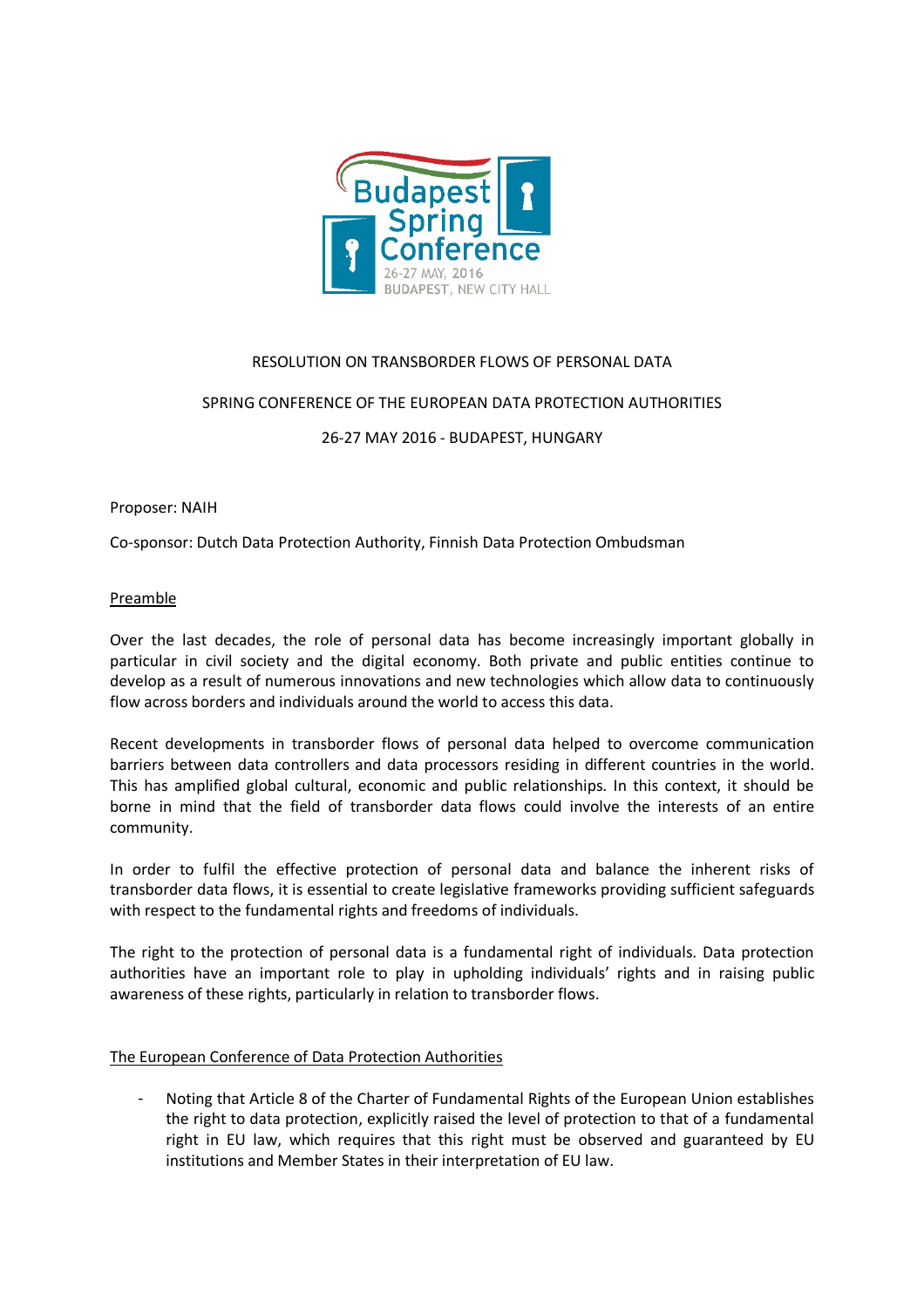

## RESOLUTION ON TRANSBORDER FLOWS OF PERSONAL DATA

## SPRING CONFERENCE OF THE EUROPEAN DATA PROTECTION AUTHORITIES

26-27 MAY 2016 - BUDAPEST, HUNGARY

Proposer: NAIH

Co-sponsor: Dutch Data Protection Authority, Finnish Data Protection Ombudsman

## Preamble

Over the last decades, the role of personal data has become increasingly important globally in particular in civil society and the digital economy. Both private and public entities continue to develop as a result of numerous innovations and new technologies which allow data to continuously flow across borders and individuals around the world to access this data.

Recent developments in transborder flows of personal data helped to overcome communication barriers between data controllers and data processors residing in different countries in the world. This has amplified global cultural, economic and public relationships. In this context, it should be borne in mind that the field of transborder data flows could involve the interests of an entire community.

In order to fulfil the effective protection of personal data and balance the inherent risks of transborder data flows, it is essential to create legislative frameworks providing sufficient safeguards with respect to the fundamental rights and freedoms of individuals.

The right to the protection of personal data is a fundamental right of individuals. Data protection authorities have an important role to play in upholding individuals' rights and in raising public awareness of these rights, particularly in relation to transborder flows.

## The European Conference of Data Protection Authorities

- Noting that Article 8 of the Charter of Fundamental Rights of the European Union establishes the right to data protection, explicitly raised the level of protection to that of a fundamental right in EU law, which requires that this right must be observed and guaranteed by EU institutions and Member States in their interpretation of EU law.